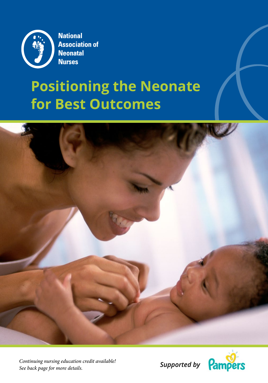

**National Association of Neonatal Nurses** 

# **Positioning the Neonate for Best Outcomes**



*Supported by Continuing nursing education credit available! See back page for more details.*

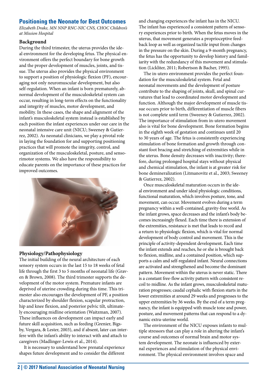# **Positioning the Neonate for Best Outcomes**

*Elizabeth Drake, MN NNP RNC-NIC CNS, CHOC Children's at Mission Hospital*

## **Background**

During the third trimester, the uterus provides the ideal environment for the developing fetus. The physical environment offers the perfect boundary for bone growth and the proper development of muscles, joints, and tissue. The uterus also provides the physical environment to support a position of physiologic flexion (PF), encouraging not only neuromuscular development, but also self-regulation. When an infant is born prematurely, abnormal development of the musculoskeletal system can occur, resulting in long-term effects on the functionality and integrity of muscles, motor development, and mobility. In these cases, the shape and alignment of the infant's musculoskeletal system instead is established by each position the infant experiences under our care in the neonatal intensive care unit (NICU; Sweeney & Gutierrez, 2002). As neonatal clinicians, we play a pivotal role in laying the foundation for and supporting positioning practices that will promote the integrity, control, and organization of the musculoskeletal, posture, and sensorimotor systems. We also have the responsibility to educate parents on the importance of these practices for improved outcomes.



# **Physiology/Pathophysiology**

The initial building of the neural architecture of each sensory system occurs in the last 15 to 18 weeks of fetal life through the first 3 to 5 months of neonatal life (Graven & Brown, 2008). The third trimester supports the development of the motor system. Premature infants are deprived of uterine crowding during this time. This trimester also encourages the development of PF, a position characterized by shoulder flexion, scapular protraction, hip and knee flexion, and posterior pelvic tilt, ultimately encouraging midline orientation (Waitzman, 2007). These influences on development can impact early and future skill acquisition, such as feeding (Grenier, Bigsby, Vergara, & Lester, 2003), and if absent, later can interfere with the infant's ability to interact with and attach to caregivers (Madlinger-Lewis et al., 2014).

It is necessary to understand how prenatal experience shapes future development and to consider the different

and changing experiences the infant has in the NICU. The infant has experienced a consistent pattern of sensory experiences prior to birth. When the fetus moves in the uterus, that movement generates a proprioceptive feedback loop as well as organized tactile input from changes in the pressure on the skin. During a 9-month pregnancy, the fetus has the opportunity to develop history and familiarity with the redundancy of this movement and stimulation (Lickliter, 2011; Robertson & Bacher, 1995).

The in-utero environment provides the perfect foundation for the musculoskeletal system. Fetal and neonatal movements and the development of posture contribute to the shaping of joints, skull, and spinal curvatures that lead to coordinated motor development and function. Although the major development of muscle tissue occurs prior to birth, differentiation of muscle fibers is not complete until term (Sweeney & Gutierrez, 2002). The importance of stimulation from in-utero movement also is vital for bone development. Bone formation begins in the eighth week of gestation and continues until 20 to 30 years of age. The fetus is consistently experiencing stimulation of bone formation and growth through constant foot bracing and stretching of extremities while in the uterus. Bone density decreases with inactivity; therefore, during prolonged hospital stays without physical and chemical stimulation, the infant is at greater risk for bone demineralization (Litmanovitz et al., 2003; Sweeney & Gutierrez, 2002).

Once musculoskeletal maturation occurs in the ideal environment and under ideal physiologic conditions, functional maturation, which involves posture, tone, and movement, can occur. Movement evolves during a term pregnancy within a well-contained, gravity-free world. As the infant grows, space decreases and the infant's body becomes increasingly flexed. Each time there is extension of the extremities, resistance is met that leads to recoil and a return to physiologic flexion, which is vital for normal development of body control and movement. This is the principle of activity-dependent development**.** Each time the infant extends and reaches, he or she is brought back to flexion, midline, and a contained position, which supports a calm and self-regulated infant. Neural connections are activated and strengthened and become the dominant pattern. Movement within the uterus is never static. There is a constant free-flow activity pattern with consistent recoil to midline. As the infant grows, musculoskeletal maturation progresses; caudal cephalic with flexion starts in the lower extremities at around 29 weeks and progresses to the upper extremities by 36 weeks. By the end of a term pregnancy, the infant is equipped with muscle tone and power, posture, and movement patterns that can respond to a dynamic extra-uterine world.

The environment of the NICU exposes infants to multiple stressors that can play a role in altering the infant's course and outcomes of normal brain and motor system development. The neonate is influenced by external experiences and stimulation of the physical environment. The physical environment involves space and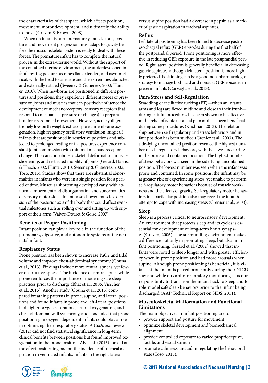the characteristics of that space, which affects position, movement, motor development, and ultimately the ability to move (Graven & Brown, 2008).

When an infant is born prematurely, muscle tone, posture, and movement progression must adapt to gravity before the musculoskeletal system is ready to deal with these forces. The premature infant has to complete the natural process in the extra-uterine world. Without the support of the contained uterine environment, the underdeveloped infant's resting posture becomes flat, extended, and asymmetrical, with the head to one side and the extremities abducted and externally rotated (Sweeney & Gutierrez, 2002; Hunter, 2010). When newborns are positioned in different postures and positions, they experience different forces of pressure on joints and muscles that can positively influence the development of mechanoreceptors (sensory receptors that respond to mechanical pressure or changes) in preparation for coordinated movement. However, acutely ill (extremely low birth weight, extracorporeal membrane oxygenation, high frequency oscillatory ventilation, surgical) infants that are positioned in restrictive positions and subjected to prolonged resting or flat postures experience constant joint compression with minimal mechanoreceptor change. This can contribute to skeletal deformation, muscle shortening, and restricted mobility of joints (Gerard, Harris, & Thach, 2002; Hunter, 2010; Sweeney & Gutierrez, 2002; Toso, 2015). Studies show that there are substantial abnormalities in infants who were in a single position for a period of time. Muscular shortening developed early, with abnormal movement and disorganization and abnormalities of sensory motor skills. Infants also showed muscle extension of the posterior axis of the body that could affect eventual milestones such as rolling over and sitting up with support of their arms (Vaivre-Douret & Golse, 2007).

#### **Benefits of Proper Positioning**

Infant position can play a key role in the function of the pulmonary, digestive, and autonomic systems of the neonatal infant.

#### **Respiratory Status**

Prone position has been shown to increase PaO2 and tidal volume and improve chest-abdominal synchrony (Gouna et al., 2013). Findings include more central apneas, yet fewer obstructive apneas. The incidence of central apnea while prone reinforces the importance of modeling safe sleep practices prior to discharge (Bhat et al., 2006; Visscher et al., 2015). Another study (Gouna et al., 2013) compared breathing patterns in prone, supine, and lateral positions and found infants in prone and left-lateral positions had higher oxygen saturations, arterial oxygenation, and chest-abdominal wall synchrony, and concluded that prone positioning in oxygen-dependent infants could play a role in optimizing their respiratory status. A *Cochrane* review (2012) did not find statistical significance in long-term clinical benefits between positions but found improved oxygenation in the prone position. Aly et al. (2015) looked at the effect positioning had on the incidence of tracheal aspiration in ventilated infants. Infants in the right lateral

Pampers

versus supine position had a decrease in pepsin as a marker of gastric aspiration in tracheal aspirates.

#### **Reflux**

Left lateral positioning has been found to decrease gastroesophageal reflux (GER) episodes during the first half of the postprandial period. Prone positioning is more effective in reducing GER exposure in the late postprandial period. Right lateral position is generally beneficial in decreasing gastric aspirates, although left lateral position is more highly preferred. Positioning can be a good non-pharmacologic strategy to manage both acid and nonacid GER episodes in preterm infants (Corvaglia et al., 2013).

#### **Pain/Stress and Self-Regulation**

Swaddling or facilitative tucking (FT)—when an infant's arms and legs are flexed midline and close to their trunk during painful procedures has been shown to be effective in the relief of acute neonatal pain and has been beneficial during some procedures (Krishnan, 2013). The relationship between self-regulatory and stress behaviors and infant position has been studied (Grenier et al., 2003). The side-lying uncontained position revealed the highest number of self-regulatory behaviors, with the fewest occurring in the prone and contained position. The highest number of stress behaviors was seen in the side-lying uncontained position. The lowest number was seen when the infant was prone and contained. In some positions, the infant may be at greater risk of experiencing stress, yet unable to perform self-regulatory motor behaviors because of muscle weakness and the effects of gravity. Self-regulatory motor behaviors in a particular position also may reveal the infant's attempt to cope with increasing stress (Grenier et al., 2003).

#### **Sleep**

Sleep is a process critical to neurosensory development. An environment that protects sleep and its cycles is essential for development of long-term brain synapses (Graven, 2006). The surrounding environment makes a difference not only in promoting sleep, but also in infant positioning. Gerard et al. (2002) showed that infants were noted to sleep longer and with greater efficiency when in prone position and had more arousals when supine. Although prone positioning is beneficial, it is vital that the infant is placed prone only during their NICU stay and while on cardio-respiratory monitoring. It is our responsibility to transition the infant Back to Sleep and to role-model safe sleep behaviors prior to the infant being discharged (AAP Technical Report on SIDS, 2011).

## **Musculoskeletal Malformation and Functional Limitations**

The main objectives in infant positioning are to

- provide support and posture for movement
- optimize skeletal development and biomechanical alignment
- provide controlled exposure to varied proprioceptive, tactile, and visual stimuli
- promote calmness and aid in regulating the behavioral state (Toso, 2015).

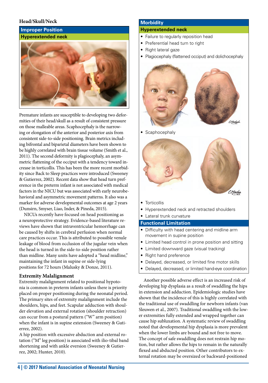## **Head/Skull/Neck**

#### **Improper Position Hyperextended neck**



Premature infants are susceptible to developing two deformities of their head/skull as a result of consistent pressure on those malleable areas. Scaphocephaly is the narrowing or elongation of the anterior and posterior axis from consistent side-to-side positioning. Brain metrics including bifrontal and biparietal diameters have been shown to be highly correlated with brain tissue volume (Smith et al., 2011). The second deformity is plagiocephaly, an asymmetric flattening of the occiput with a tendency toward increase in torticollis. This has been the more recent morbidity since Back to Sleep practices were introduced (Sweeney & Gutierrez, 2002). Recent data show that head turn preference in the preterm infant is not associated with medical factors in the NICU but was associated with early neurobehavioral and asymmetric movement patterns. It also was a marker for adverse developmental outcomes at age 2 years (Dunsirn, Smyser, Liao, Inder, & Pineda, 2015).

NICUs recently have focused on head positioning as a neuroprotective strategy. Evidence-based literature reviews have shown that intraventricular hemorrhage can be caused by shifts in cerebral perfusion when normal care practices occur. This is attributed to possible venule leakage of blood from occlusion of the jugular vein when the head is turned in the side-to-side position rather than midline. Many units have adopted a "head midline," maintaining the infant in supine or side-lying positions for 72 hours (Malusky & Donze, 2011).

#### **Extremity Malalignment**

Extremity malalignment related to positional hypotonia is common in preterm infants unless there is priority placed on proper positioning during the neonatal period. The primary sites of extremity malalignment include the shoulders, hips, and feet. Scapular adduction with shoulder elevation and external rotation (shoulder retraction) can occur from a postural pattern ("W" arm position) when the infant is in supine extension (Sweeney & Gutierrez, 2002).

A hip position with excessive abduction and external rotation ("M" leg position) is associated with ilio-tibal band shortening and with ankle eversion (Sweeney & Gutierrez, 2002; Hunter, 2010).

#### **Morbidity**

#### **Hyperextended neck**

- Failure to regularly reposition head
- Preferential head turn to right
- Right lateral gaze
- Plagiocephaly (flattened occiput) and dolichocephaly



• Scaphocephaly



- Torticollis
- Hyperextended neck and retracted shoulders
- Lateral trunk curvature

#### **Functional Limitation**

- Difficulty with head centering and midline arm movement in supine position
- Limited head control in prone position and sitting
- Limited downward gaze (visual tracking)
- Right hand preference
- Delayed, decreased, or limited fine motor skills
- Delayed, decreased, or limited hand-eye coordination

Another possible adverse effect is an increased risk of developing hip dysplasia as a result of swaddling the hips in extension and adduction. Epidemiologic studies have shown that the incidence of this is highly correlated with the traditional use of swaddling for newborn infants (van Sleuwen et al., 2007). Traditional swaddling with the lower extremities fully extended and wrapped together can cause hip subluxation. A systematic review of swaddling noted that developmental hip dysplasia is more prevalent when the lower limbs are bound and not free to move. The concept of safe swaddling does not restrain hip motion, but rather allows the hips to remain in the naturally flexed and abducted position. Other contributors to external rotation may be oversized or backward-positioned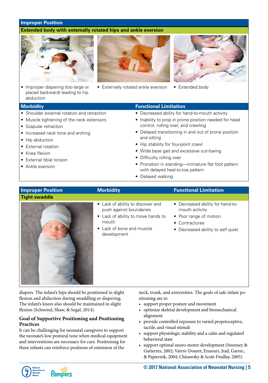#### **Improper Position**

#### **Extended body with externally rotated hips and ankle eversion**



• Improper diapering (too large or placed backward) leading to hip abduction



• Externally rotated ankle eversion • Extended body



- Shoulder external rotation and retraction
- Muscle tightening of the neck extensors
- Scapular retraction
- Increased neck tone and arching
- Hip abduction
- External rotation
- Knee flexion
- External tibial torsion
- Ankle eversion

#### **Morbidity Functional Limitation**

- Decreased ability for hand-to-mouth activity
- Inability to prop in prone position needed for head control, rolling over, and crawling
- Delayed transitioning in and out of prone position and sitting
- Hip stability for four-point crawl
- Wide base gait and excessive out-toeing
- Difficulty rolling over
- Pronation in standing—immature flat foot pattern with delayed heel-to-toe pattern
- Delayed walking

#### **Tight swaddle**



# • Lack of ability to discover and push against boundaries

- Lack of ability to move hands to mouth
- Lack of bone and muscle development

# **Improper Position Morbidity** *Morbidity* **Functional Limitation**

- Decreased ability for hand-tomouth activity
- Poor range of motion
- Contractures
- Decreased ability to self quiet

diapers. The infant's hips should be positioned in slight flexion and abduction during swaddling or diapering. The infant's knees also should be maintained in slight flexion (Schwend, Shaw, & Segal, 2014).

## **Goal of Supportive Positioning and Positioning Practices**

It can be challenging for neonatal caregivers to support the neonate's low postural tone when medical equipment and interventions are necessary for care. Positioning for these infants can reinforce positions of extension of the

neck, trunk, and extremities. The goals of safe infant positioning are to

- support proper posture and movement
- optimize skeletal development and biomechanical alignment
- provide controlled exposure to varied proprioceptive, tactile, and visual stimuli
- support physiologic stability and a calm and regulated behavioral state
- support optimal neuro-motor development (Sweeney & Gutierrez, 2002; Vaivre-Douret, Ennouri, Jrad, Garrec, & Papiernik, 2004; Chizawsky & Scott-Findlay, 2005).

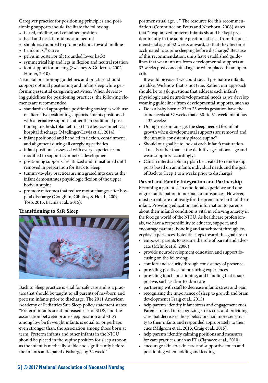Caregiver practice for positioning principles and positioning supports should facilitate the following:

- flexed, midline, and contained position
- head and neck in midline and neutral
- shoulders rounded to promote hands toward midline
- trunk in "C" curve
- pelvis in posterior tilt (rounded lower back)
- symmetrical hip and legs in flexion and neutral rotation
- foot support for bracing (Sweeney & Gutierrez, 2002; Hunter, 2010).

Neonatal positioning guidelines and practices should support optimal positioning and infant sleep while performing essential caregiving activities. When developing guidelines for positioning practices, the following elements are recommended:

- standardized appropriate positioning strategies with use of alternative positioning supports. Infants positioned with alternative supports rather than traditional positioning methods (blanket rolls) have less asymmetry at hospital discharge (Madlinger-Lewis et al., 2014).
- infant positioned and handled in flexion, containment and alignment during all caregiving activities
- infant position is assessed with every experience and modified to support symmetric development
- positioning supports are utilized and transitioned until removed in preparation for Back to Sleep
- tummy-to-play practices are integrated into care as the infant demonstrates physiologic flexion of the upper body in supine
- promote outcomes that reduce motor changes after hospital discharge (Coughlin, Gibbins, & Hoath, 2009; Toso, 2015; Lacina et al., 2015).

# **Transitioning to Safe Sleep**



Back to Sleep practice is vital for safe care and is a practice that should be taught to all parents of newborn and preterm infants prior to discharge. The 2011 American Academy of Pediatrics Safe Sleep policy statement states: "Preterm infants are at increased risk of SIDS, and the association between prone sleep position and SIDS among low birth weight infants is equal to, or perhaps even stronger than, the association among those born at term. Preterm infants and other infants in the NICU should be placed in the supine position for sleep as soon as the infant is medically stable and significantly before the infant's anticipated discharge, by 32 weeks'

postmenstrual age…." The resource for this recommendation (Committee on Fetus and Newborn, 2008) states that "hospitalized preterm infants should be kept predominantly in the supine position, at least from the postmenstrual age of 32 weeks onward, so that they become acclimated to supine sleeping before discharge." Because of this recommendation, units have established guidelines that wean infants from developmental supports at 32 weeks post conceptual age or when placed in an open crib.

It would be easy if we could say all premature infants are alike. We know that is not true. Rather, our approach should be to ask questions that address each infant's physiologic and neurodevelopmental needs as we develop weaning guidelines from developmental supports, such as

- Does a baby born at 23 to 25 weeks gestation have the same needs at 32 weeks that a 30- to 31-week infant has at 32 weeks?
- Do high-risk infants get the sleep needed for infant growth when developmental supports are removed and the infant is consistently placed supine?
- Should our goal be to look at each infant's maturational needs rather than at the definitive gestational age and wean supports accordingly?
- Can an interdisciplinary plan be created to remove supports based on an infant's individual needs and the goal of Back to Sleep 1 to 2 weeks prior to discharge?

# **Parent and Family Integration and Partnership**

Becoming a parent is an emotional experience and one of great anticipation in normal circumstances. However, most parents are not ready for the premature birth of their infant. Providing education and information to parents about their infant's condition is vital in relieving anxiety in the foreign world of the NICU. As healthcare professionals, we have a responsibility to educate, support, and encourage parental bonding and attachment through everyday experiences. Potential steps toward this goal are to

- empower parents to assume the role of parent and advocate (Melnyk et al. 2006)
- provide neurodevelopment education and support focusing on the following:
- comfort and security through consistency of presence
- providing positive and nurturing experiences
- providing touch, positioning, and handling that is supportive, such as skin-to-skin care
- partnering with staff to decrease infant's stress and pain
- recognizing the importance of sleep to growth and brain development (Craig et al., 2015)
- help parents identify infant stress and engagement cues. Parents trained in recognizing stress cues and providing care that decreases those behaviors had more sensitivity to their infants and responded appropriately to their cues (Milgrom et al., 2013; Craig et al., 2015).
- help parents identify calming positions and measures for care practices, such as FT (Cignacco et al., 2010)
- encourage skin-to-skin care and supportive touch and positioning when holding and feeding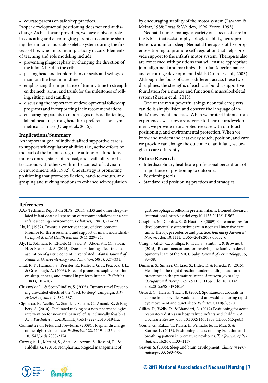• educate parents on safe sleep practices.

Proper developmental positioning does not end at discharge. As healthcare providers, we have a pivotal role in educating and encouraging parents to continue shaping their infant's musculoskeletal system during the first year of life, when maximum plasticity occurs. Elements of teaching and role modeling include

- preventing plagiocephaly by changing the direction of the infant's head in the crib
- placing head and trunk rolls in car seats and swings to maintain the head in midline
- emphasizing the importance of tummy time to strengthen the neck, arms, and trunk for the milestones of rolling, sitting, and standing
- discussing the importance of developmental follow-up programs and incorporating their recommendations
- encouraging parents to report signs of head flattening, lateral head tilt, strong head turn preference, or asymmetrical arm use (Craig et al., 2015).

#### **Implications/Summary**

An important goal of individualized supportive care is to support self-regulatory abilities (i.e., active efforts on the part of the infant to regulate autonomic functions, motor control, states of arousal, and availability for interactions with others, within the context of a dynamic environment; Als, 1982). One strategy is promoting positioning that promotes flexion, hand-to-mouth, and grasping and tucking motions to enhance self-regulation by encouraging stability of the motor system (Lawhon & Melzar, 1988; Lotas & Walden, 1996; Yecco, 1993).

Neonatal nurses manage a variety of aspects of care in the NICU that assist in physiologic stability, neuroprotection, and infant sleep. Neonatal therapists utilize proper positioning to promote self-regulation that helps provide support to the infant's motor system. Therapists also are concerned with positions that will ensure appropriate joint alignment and maximize the infant's performance and encourage developmental skills (Grenier et al., 2003). Although the focus of care is different across these two disciplines, the strengths of each can build a supportive foundation for a mature and functional musculoskeletal system (Zarem et al., 2013).

One of the most powerful things neonatal caregivers can do is simply listen and observe the language of infants' movement and cues. When we protect infants from experiences we know are adverse to their neurodevelopment, we provide neuroprotective care with our touch, positioning, and environmental protection. When we know and understand that every touch, position, and care we provide can change the outcome of an infant, we begin to care differently.

#### **Future Research**

- Interdisciplinary healthcare professional perceptions of importance of positioning to outcomes
- Positioning tools
- Standardized positioning practices and strategies

#### **References**

- AAP Technical Report on SIDS (2011). SIDS and other sleep-related infant deaths: Expansion of recommendations for a safe infant sleeping environment. *Pediatrics*, 128(5), e1–e29.
- Als, H. (1982). Toward a synactive theory of development: Promise for the assessment and support of infant individuality. *Infant Mental Health Journal*, 3(4), 229–243.
- Aly, H., Soliman, R., El-Dib, M., Said, R., Abdellatif, M., Sibaii, H. & Elwakkad, A. (2015). Does positioning affect tracheal aspiration of gastric content in ventilated infants? *Journal of Pediatric Gastroenterology and Nutrition*, 60(3), 327–331.
- [Bhat, R. Y](http://www.ncbi.nlm.nih.gov/pubmed/?term=Bhat%20RY%5BAuthor%5D&cauthor=true&cauthor_uid=16818554)., [Hannam, S](http://www.ncbi.nlm.nih.gov/pubmed/?term=Hannam%20S%5BAuthor%5D&cauthor=true&cauthor_uid=16818554)., [Pressler, R.](http://www.ncbi.nlm.nih.gov/pubmed/?term=Pressler%20R%5BAuthor%5D&cauthor=true&cauthor_uid=16818554), [Rafferty, G. F.](http://www.ncbi.nlm.nih.gov/pubmed/?term=Rafferty%20GF%5BAuthor%5D&cauthor=true&cauthor_uid=16818554), [Peacock, J. L.](http://www.ncbi.nlm.nih.gov/pubmed/?term=Peacock%20JL%5BAuthor%5D&cauthor=true&cauthor_uid=16818554), & [Greenough, A.](http://www.ncbi.nlm.nih.gov/pubmed/?term=Greenough%20A%5BAuthor%5D&cauthor=true&cauthor_uid=16818554) (2006). Effect of prone and supine position on sleep, apneas, and arousal in preterm infants. *Pediatrics*, 118(1), 101–107.
- Chizawsky, L., & Scott-Findlay, S. (2005). Tummy time! Preventing unwanted effects of the "back to sleep" campaign. *AW-HONN Lifelines*, 9, 382–387.
- Cignacco, E., Azelin, A., Staffel, L. Sellam, G., Anand, K., & Engberg, S. (2010). Facilitated tucking as a non-pharmacological intervention for neonatal pain relief: Is it clinically feasible? *Acta Paediatrica*, doi:10.1111/j/1651–2227.2010.01941.x
- Committee on Fetus and Newborn. (2008). Hospital discharge of the high-risk neonate. *Pediatrics*, 122, 1119–1126. doi: 10.1542/peds.2008-2174
- Corvaglia, L., Martini, S., Aceti, A., Arcuri, S., Rossini, R., & Faldella, G. (2013). Nonpharmacological management of

gastroesophageal reflux in preterm infants. Biomed Research International, [http://dx.doi.org/10.1155.2013/141967.](http://dx.doi.org/10.1155.2013/141967)

- Coughlin, M., Gibbins, S., & Hoath, S. (2009). Core measures for developmentally supportive care in neonatal intensive care units: Theory, precedence and practice. *Journal of Advanced Nursing*, doi: 10.1111/j.1365–2648.2009.05052.x
- Craig, J., Glick, C., Phillips, R., Hall, S., Smith, J., & Browne, J. (2015). Recommendations for involving the family in developmental care of the NICU baby. *Journal of Perinatology*, 35, S5–S8.
- Dunsirn, S., Smyser, C., Liao, S., Inder, T., & Pineda, R. (2015). Heading in the right direction: understanding head turn preference in the premature infant. *American Journal of Occupational Therapy*, 69, 6911505115p1. doi:10.5014/ ajot.2015.69S1-PO4054.
- Gerard, C., Harris., Thach, B. (2002). Spontaneous arousals in supine infants while swaddled and unswaddled during rapid eye movement and quiet sleep. *Pediatrics*, 110(6), e70.
- Gillies, D., Wells, D., & Bhandari, A. (2012) Positioning for acute respiratory distress in hospitalized infants and children. A Cochrane Review, doi: 10.1002/14651858.CD003645.pub3
- Gouna, G., Rakza, T., Kuissi, E., Pennaforte, T., Mur, S. & Storme, L. (2013). Positioning effects on lung Function and breathing pattern in premature newborns. *The Journal of Pediatrics*, 162(6), 1133–1137.
- Graven, S. (2006). Sleep and brain development. *Clinics in Perinatology*, 33, 693–706.